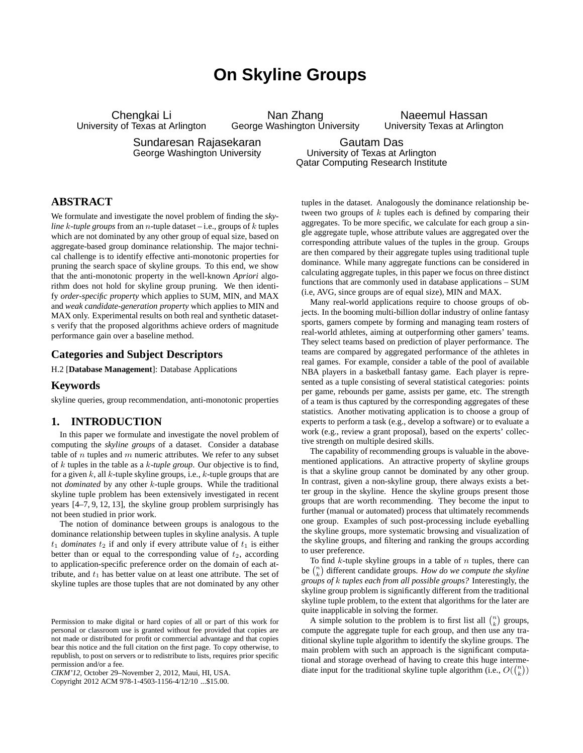# **On Skyline Groups**

Chengkai Li University of Texas at Arlington

Nan Zhang George Washington University

Naeemul Hassan University Texas at Arlington

Sundaresan Rajasekaran George Washington University

Gautam Das University of Texas at Arlington Qatar Computing Research Institute

## **ABSTRACT**

We formulate and investigate the novel problem of finding the *skyline* k-tuple groups from an *n*-tuple dataset – i.e., groups of k tuples which are not dominated by any other group of equal size, based on aggregate-based group dominance relationship. The major technical challenge is to identify effective anti-monotonic properties for pruning the search space of skyline groups. To this end, we show that the anti-monotonic property in the well-known *Apriori* algorithm does not hold for skyline group pruning. We then identify *order-specific property* which applies to SUM, MIN, and MAX and *weak candidate-generation property* which applies to MIN and MAX only. Experimental results on both real and synthetic datasets verify that the proposed algorithms achieve orders of magnitude performance gain over a baseline method.

## **Categories and Subject Descriptors**

H.2 [**Database Management**]: Database Applications

### **Keywords**

skyline queries, group recommendation, anti-monotonic properties

#### **1. INTRODUCTION**

In this paper we formulate and investigate the novel problem of computing the *skyline groups* of a dataset. Consider a database table of  $n$  tuples and  $m$  numeric attributes. We refer to any subset of k tuples in the table as a k*-tuple group*. Our objective is to find, for a given  $k$ , all  $k$ -tuple skyline groups, i.e.,  $k$ -tuple groups that are not *dominated* by any other k-tuple groups. While the traditional skyline tuple problem has been extensively investigated in recent years [4–7, 9, 12, 13], the skyline group problem surprisingly has not been studied in prior work.

The notion of dominance between groups is analogous to the dominance relationship between tuples in skyline analysis. A tuple  $t_1$  *dominates*  $t_2$  if and only if every attribute value of  $t_1$  is either better than or equal to the corresponding value of  $t_2$ , according to application-specific preference order on the domain of each attribute, and  $t_1$  has better value on at least one attribute. The set of skyline tuples are those tuples that are not dominated by any other

Copyright 2012 ACM 978-1-4503-1156-4/12/10 ...\$15.00.

tuples in the dataset. Analogously the dominance relationship between two groups of  $k$  tuples each is defined by comparing their aggregates. To be more specific, we calculate for each group a single aggregate tuple, whose attribute values are aggregated over the corresponding attribute values of the tuples in the group. Groups are then compared by their aggregate tuples using traditional tuple dominance. While many aggregate functions can be considered in calculating aggregate tuples, in this paper we focus on three distinct functions that are commonly used in database applications – SUM (i.e, AVG, since groups are of equal size), MIN and MAX.

Many real-world applications require to choose groups of objects. In the booming multi-billion dollar industry of online fantasy sports, gamers compete by forming and managing team rosters of real-world athletes, aiming at outperforming other gamers' teams. They select teams based on prediction of player performance. The teams are compared by aggregated performance of the athletes in real games. For example, consider a table of the pool of available NBA players in a basketball fantasy game. Each player is represented as a tuple consisting of several statistical categories: points per game, rebounds per game, assists per game, etc. The strength of a team is thus captured by the corresponding aggregates of these statistics. Another motivating application is to choose a group of experts to perform a task (e.g., develop a software) or to evaluate a work (e.g., review a grant proposal), based on the experts' collective strength on multiple desired skills.

The capability of recommending groups is valuable in the abovementioned applications. An attractive property of skyline groups is that a skyline group cannot be dominated by any other group. In contrast, given a non-skyline group, there always exists a better group in the skyline. Hence the skyline groups present those groups that are worth recommending. They become the input to further (manual or automated) process that ultimately recommends one group. Examples of such post-processing include eyeballing the skyline groups, more systematic browsing and visualization of the skyline groups, and filtering and ranking the groups according to user preference.

To find  $k$ -tuple skyline groups in a table of  $n$  tuples, there can be  $\binom{n}{k}$  different candidate groups. *How do we compute the skyline groups of* k *tuples each from all possible groups?* Interestingly, the skyline group problem is significantly different from the traditional skyline tuple problem, to the extent that algorithms for the later are quite inapplicable in solving the former.

A simple solution to the problem is to first list all  $\binom{n}{k}$  groups, compute the aggregate tuple for each group, and then use any traditional skyline tuple algorithm to identify the skyline groups. The main problem with such an approach is the significant computational and storage overhead of having to create this huge intermediate input for the traditional skyline tuple algorithm (i.e.,  $O({n \choose k})$ )

Permission to make digital or hard copies of all or part of this work for personal or classroom use is granted without fee provided that copies are not made or distributed for profit or commercial advantage and that copies bear this notice and the full citation on the first page. To copy otherwise, to republish, to post on servers or to redistribute to lists, requires prior specific permission and/or a fee.

*CIKM'12,* October 29–November 2, 2012, Maui, HI, USA.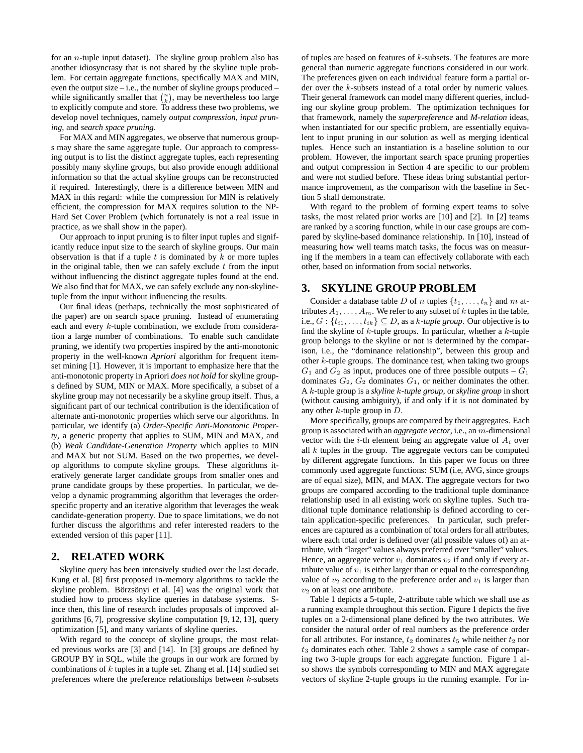for an  $n$ -tuple input dataset). The skyline group problem also has another idiosyncrasy that is not shared by the skyline tuple problem. For certain aggregate functions, specifically MAX and MIN, even the output size – i.e., the number of skyline groups produced – while significantly smaller that  $\binom{n}{k}$ , may be nevertheless too large to explicitly compute and store. To address these two problems, we develop novel techniques, namely *output compression*, *input pruning*, and *search space pruning*.

For MAX and MIN aggregates, we observe that numerous groups may share the same aggregate tuple. Our approach to compressing output is to list the distinct aggregate tuples, each representing possibly many skyline groups, but also provide enough additional information so that the actual skyline groups can be reconstructed if required. Interestingly, there is a difference between MIN and MAX in this regard: while the compression for MIN is relatively efficient, the compression for MAX requires solution to the NP-Hard Set Cover Problem (which fortunately is not a real issue in practice, as we shall show in the paper).

Our approach to input pruning is to filter input tuples and significantly reduce input size to the search of skyline groups. Our main observation is that if a tuple  $t$  is dominated by  $k$  or more tuples in the original table, then we can safely exclude  $t$  from the input without influencing the distinct aggregate tuples found at the end. We also find that for MAX, we can safely exclude any non-skylinetuple from the input without influencing the results.

Our final ideas (perhaps, technically the most sophisticated of the paper) are on search space pruning. Instead of enumerating each and every k-tuple combination, we exclude from consideration a large number of combinations. To enable such candidate pruning, we identify two properties inspired by the anti-monotonic property in the well-known *Apriori* algorithm for frequent itemset mining [1]. However, it is important to emphasize here that the anti-monotonic property in Apriori *does not hold* for skyline groups defined by SUM, MIN or MAX. More specifically, a subset of a skyline group may not necessarily be a skyline group itself. Thus, a significant part of our technical contribution is the identification of alternate anti-monotonic properties which serve our algorithms. In particular, we identify (a) *Order-Specific Anti-Monotonic Property*, a generic property that applies to SUM, MIN and MAX, and (b) *Weak Candidate-Generation Property* which applies to MIN and MAX but not SUM. Based on the two properties, we develop algorithms to compute skyline groups. These algorithms iteratively generate larger candidate groups from smaller ones and prune candidate groups by these properties. In particular, we develop a dynamic programming algorithm that leverages the orderspecific property and an iterative algorithm that leverages the weak candidate-generation property. Due to space limitations, we do not further discuss the algorithms and refer interested readers to the extended version of this paper [11].

## **2. RELATED WORK**

Skyline query has been intensively studied over the last decade. Kung et al. [8] first proposed in-memory algorithms to tackle the skyline problem. Börzsönyi et al. [4] was the original work that studied how to process skyline queries in database systems. Since then, this line of research includes proposals of improved algorithms [6, 7], progressive skyline computation [9, 12, 13], query optimization [5], and many variants of skyline queries.

With regard to the concept of skyline groups, the most related previous works are [3] and [14]. In [3] groups are defined by GROUP BY in SQL, while the groups in our work are formed by combinations of  $k$  tuples in a tuple set. Zhang et al. [14] studied set preferences where the preference relationships between  $k$ -subsets of tuples are based on features of  $k$ -subsets. The features are more general than numeric aggregate functions considered in our work. The preferences given on each individual feature form a partial order over the k-subsets instead of a total order by numeric values. Their general framework can model many different queries, including our skyline group problem. The optimization techniques for that framework, namely the *superpreference* and *M-relation* ideas, when instantiated for our specific problem, are essentially equivalent to input pruning in our solution as well as merging identical tuples. Hence such an instantiation is a baseline solution to our problem. However, the important search space pruning properties and output compression in Section 4 are specific to our problem and were not studied before. These ideas bring substantial performance improvement, as the comparison with the baseline in Section 5 shall demonstrate.

With regard to the problem of forming expert teams to solve tasks, the most related prior works are [10] and [2]. In [2] teams are ranked by a scoring function, while in our case groups are compared by skyline-based dominance relationship. In [10], instead of measuring how well teams match tasks, the focus was on measuring if the members in a team can effectively collaborate with each other, based on information from social networks.

#### **3. SKYLINE GROUP PROBLEM**

Consider a database table D of n tuples  $\{t_1, \ldots, t_n\}$  and m attributes  $A_1, \ldots, A_m$ . We refer to any subset of k tuples in the table, i.e.,  $G: \{t_{i1}, \ldots, t_{ik}\} \subseteq D$ , as a k-tuple group. Our objective is to find the skyline of  $k$ -tuple groups. In particular, whether a  $k$ -tuple group belongs to the skyline or not is determined by the comparison, i.e., the "dominance relationship", between this group and other  $k$ -tuple groups. The dominance test, when taking two groups  $G_1$  and  $G_2$  as input, produces one of three possible outputs –  $G_1$ dominates  $G_2$ ,  $G_2$  dominates  $G_1$ , or neither dominates the other. A k-tuple group is a *skyline* k*-tuple group*, or *skyline group* in short (without causing ambiguity), if and only if it is not dominated by any other  $k$ -tuple group in  $D$ .

More specifically, groups are compared by their aggregates. Each group is associated with an *aggregate vector*, i.e., an m-dimensional vector with the *i*-th element being an aggregate value of  $A_i$  over all  $k$  tuples in the group. The aggregate vectors can be computed by different aggregate functions. In this paper we focus on three commonly used aggregate functions: SUM (i.e, AVG, since groups are of equal size), MIN, and MAX. The aggregate vectors for two groups are compared according to the traditional tuple dominance relationship used in all existing work on skyline tuples. Such traditional tuple dominance relationship is defined according to certain application-specific preferences. In particular, such preferences are captured as a combination of total orders for all attributes, where each total order is defined over (all possible values of) an attribute, with "larger" values always preferred over "smaller" values. Hence, an aggregate vector  $v_1$  dominates  $v_2$  if and only if every attribute value of  $v_1$  is either larger than or equal to the corresponding value of  $v_2$  according to the preference order and  $v_1$  is larger than  $v_2$  on at least one attribute.

Table 1 depicts a 5-tuple, 2-attribute table which we shall use as a running example throughout this section. Figure 1 depicts the five tuples on a 2-dimensional plane defined by the two attributes. We consider the natural order of real numbers as the preference order for all attributes. For instance,  $t_2$  dominates  $t_5$  while neither  $t_2$  nor  $t<sub>3</sub>$  dominates each other. Table 2 shows a sample case of comparing two 3-tuple groups for each aggregate function. Figure 1 also shows the symbols corresponding to MIN and MAX aggregate vectors of skyline 2-tuple groups in the running example. For in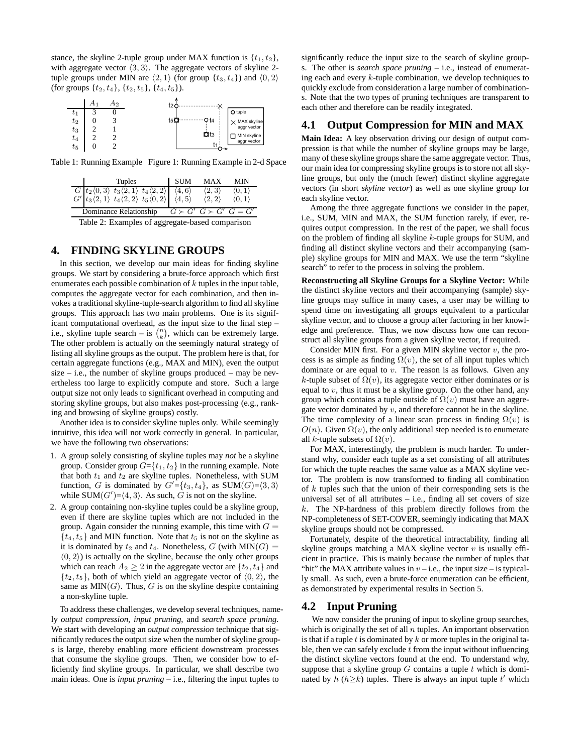stance, the skyline 2-tuple group under MAX function is  $\{t_1, t_2\}$ , with aggregate vector  $\langle 3, 3 \rangle$ . The aggregate vectors of skyline 2tuple groups under MIN are  $\langle 2, 1 \rangle$  (for group  $\{t_3, t_4\}$ ) and  $\langle 0, 2 \rangle$ (for groups  $\{t_2, t_4\}$ ,  $\{t_2, t_5\}$ ,  $\{t_4, t_5\}$ ).

|         | Aэ | t2                                            |  |
|---------|----|-----------------------------------------------|--|
| $t_{1}$ |    | O tuple                                       |  |
| $t_2$   |    | Ot <sub>4</sub><br>t5E<br>MAX skyline         |  |
| $t_3$   |    | aggr vector                                   |  |
| $t_4$   |    | Ot <sub>3</sub><br>MIN skyline<br>aggr vector |  |
| $t_{5}$ |    |                                               |  |

Table 1: Running Example Figure 1: Running Example in 2-d Space

| Tuples                                                                                                                                                                                                                                       | SUM | MAX                                             | МIN                             |
|----------------------------------------------------------------------------------------------------------------------------------------------------------------------------------------------------------------------------------------------|-----|-------------------------------------------------|---------------------------------|
| $\begin{array}{c c c c c c c} G & t_2\langle 0,3\rangle & t_3\langle 2,1\rangle & t_4\langle 2,2\rangle & \langle 4,6\rangle \\ G' & t_3\langle 2,1\rangle & t_4\langle 2,2\rangle & t_5\langle 0,2\rangle & \langle 4,5\rangle \end{array}$ |     | $\langle 2,3 \rangle$<br>$\langle 2, 2 \rangle$ | (0,1)<br>$\langle 0, 1 \rangle$ |
| Dominance Relationship                                                                                                                                                                                                                       |     | $G \succ G'$ $G \succ G'$ $G = G'$              |                                 |

Table 2: Examples of aggregate-based comparison

## **4. FINDING SKYLINE GROUPS**

In this section, we develop our main ideas for finding skyline groups. We start by considering a brute-force approach which first enumerates each possible combination of  $k$  tuples in the input table, computes the aggregate vector for each combination, and then invokes a traditional skyline-tuple-search algorithm to find all skyline groups. This approach has two main problems. One is its significant computational overhead, as the input size to the final step – i.e., skyline tuple search – is  $\binom{n}{k}$ , which can be extremely large. The other problem is actually on the seemingly natural strategy of listing all skyline groups as the output. The problem here is that, for certain aggregate functions (e.g., MAX and MIN), even the output size – i.e., the number of skyline groups produced – may be nevertheless too large to explicitly compute and store. Such a large output size not only leads to significant overhead in computing and storing skyline groups, but also makes post-processing (e.g., ranking and browsing of skyline groups) costly.

Another idea is to consider skyline tuples only. While seemingly intuitive, this idea will not work correctly in general. In particular, we have the following two observations:

- 1. A group solely consisting of skyline tuples may *not* be a skyline group. Consider group  $G = \{t_1, t_2\}$  in the running example. Note that both  $t_1$  and  $t_2$  are skyline tuples. Nonetheless, with SUM function, G is dominated by  $G' = \{t_3, t_4\}$ , as  $SUM(G) = \langle 3, 3 \rangle$ while  $SUM(G') = \langle 4, 3 \rangle$ . As such, G is not on the skyline.
- 2. A group containing non-skyline tuples could be a skyline group, even if there are skyline tuples which are not included in the group. Again consider the running example, this time with  $G =$  $\{t_4, t_5\}$  and MIN function. Note that  $t_5$  is not on the skyline as it is dominated by  $t_2$  and  $t_4$ . Nonetheless, G (with MIN(G) =  $(0, 2)$ ) is actually on the skyline, because the only other groups which can reach  $A_2 \geq 2$  in the aggregate vector are  $\{t_2, t_4\}$  and  $\{t_2, t_5\}$ , both of which yield an aggregate vector of  $\langle 0, 2 \rangle$ , the same as  $MIN(G)$ . Thus, G is on the skyline despite containing a non-skyline tuple.

To address these challenges, we develop several techniques, namely *output compression*, *input pruning*, and *search space pruning*. We start with developing an *output compression* technique that significantly reduces the output size when the number of skyline groups is large, thereby enabling more efficient downstream processes that consume the skyline groups. Then, we consider how to efficiently find skyline groups. In particular, we shall describe two main ideas. One is *input pruning* – i.e., filtering the input tuples to

significantly reduce the input size to the search of skyline groups. The other is *search space pruning* – i.e., instead of enumerating each and every k-tuple combination, we develop techniques to quickly exclude from consideration a large number of combinations. Note that the two types of pruning techniques are transparent to each other and therefore can be readily integrated.

## **4.1 Output Compression for MIN and MAX**

**Main Idea:** A key observation driving our design of output compression is that while the number of skyline groups may be large, many of these skyline groups share the same aggregate vector. Thus, our main idea for compressing skyline groups is to store not all skyline groups, but only the (much fewer) distinct skyline aggregate vectors (in short *skyline vector*) as well as one skyline group for each skyline vector.

Among the three aggregate functions we consider in the paper, i.e., SUM, MIN and MAX, the SUM function rarely, if ever, requires output compression. In the rest of the paper, we shall focus on the problem of finding all skyline k-tuple groups for SUM, and finding all distinct skyline vectors and their accompanying (sample) skyline groups for MIN and MAX. We use the term "skyline search" to refer to the process in solving the problem.

**Reconstructing all Skyline Groups for a Skyline Vector:** While the distinct skyline vectors and their accompanying (sample) skyline groups may suffice in many cases, a user may be willing to spend time on investigating all groups equivalent to a particular skyline vector, and to choose a group after factoring in her knowledge and preference. Thus, we now discuss how one can reconstruct all skyline groups from a given skyline vector, if required.

Consider MIN first. For a given MIN skyline vector  $v$ , the process is as simple as finding  $\Omega(v)$ , the set of all input tuples which dominate or are equal to  $v$ . The reason is as follows. Given any k-tuple subset of  $\Omega(v)$ , its aggregate vector either dominates or is equal to  $v$ , thus it must be a skyline group. On the other hand, any group which contains a tuple outside of  $\Omega(v)$  must have an aggregate vector dominated by  $v$ , and therefore cannot be in the skyline. The time complexity of a linear scan process in finding  $\Omega(v)$  is  $O(n)$ . Given  $\Omega(v)$ , the only additional step needed is to enumerate all k-tuple subsets of  $\Omega(v)$ .

For MAX, interestingly, the problem is much harder. To understand why, consider each tuple as a set consisting of all attributes for which the tuple reaches the same value as a MAX skyline vector. The problem is now transformed to finding all combination of k tuples such that the union of their corresponding sets is the universal set of all attributes  $-$  i.e., finding all set covers of size k. The NP-hardness of this problem directly follows from the NP-completeness of SET-COVER, seemingly indicating that MAX skyline groups should not be compressed.

Fortunately, despite of the theoretical intractability, finding all skyline groups matching a MAX skyline vector  $v$  is usually efficient in practice. This is mainly because the number of tuples that "hit" the MAX attribute values in  $v - i.e.,$  the input size – is typically small. As such, even a brute-force enumeration can be efficient, as demonstrated by experimental results in Section 5.

#### **4.2 Input Pruning**

We now consider the pruning of input to skyline group searches, which is originally the set of all  $n$  tuples. An important observation is that if a tuple t is dominated by  $k$  or more tuples in the original table, then we can safely exclude  $t$  from the input without influencing the distinct skyline vectors found at the end. To understand why, suppose that a skyline group  $G$  contains a tuple  $t$  which is dominated by  $h(h \ge k)$  tuples. There is always an input tuple  $t'$  which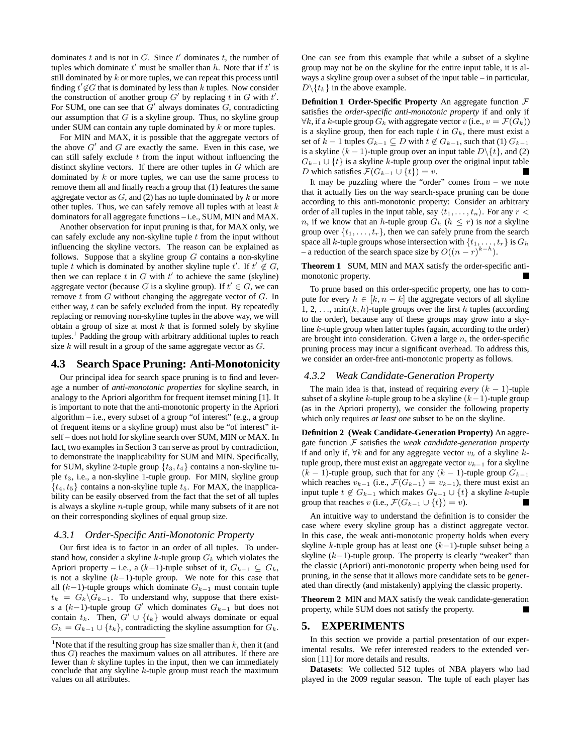dominates  $t$  and is not in  $G$ . Since  $t'$  dominates  $t$ , the number of tuples which dominate  $t'$  must be smaller than  $h$ . Note that if  $t'$  is still dominated by  $k$  or more tuples, we can repeat this process until finding  $t' \notin G$  that is dominated by less than k tuples. Now consider the construction of another group  $G'$  by replacing t in G with t'. For SUM, one can see that  $G'$  always dominates  $G$ , contradicting our assumption that  $G$  is a skyline group. Thus, no skyline group under SUM can contain any tuple dominated by  $k$  or more tuples.

For MIN and MAX, it is possible that the aggregate vectors of the above  $G'$  and  $G$  are exactly the same. Even in this case, we can still safely exclude  $t$  from the input without influencing the distinct skyline vectors. If there are other tuples in  $G$  which are dominated by  $k$  or more tuples, we can use the same process to remove them all and finally reach a group that (1) features the same aggregate vector as  $G$ , and (2) has no tuple dominated by  $k$  or more other tuples. Thus, we can safely remove all tuples with at least  $k$ dominators for all aggregate functions – i.e., SUM, MIN and MAX.

Another observation for input pruning is that, for MAX only, we can safely exclude any non-skyline tuple  $t$  from the input without influencing the skyline vectors. The reason can be explained as follows. Suppose that a skyline group  $G$  contains a non-skyline tuple t which is dominated by another skyline tuple t'. If  $t' \notin G$ , then we can replace t in G with  $t'$  to achieve the same (skyline) aggregate vector (because G is a skyline group). If  $t' \in G$ , we can remove  $t$  from  $G$  without changing the aggregate vector of  $G$ . In either way,  $t$  can be safely excluded from the input. By repeatedly replacing or removing non-skyline tuples in the above way, we will obtain a group of size at most  $k$  that is formed solely by skyline tuples.<sup>1</sup> Padding the group with arbitrary additional tuples to reach size  $k$  will result in a group of the same aggregate vector as  $G$ .

#### **4.3 Search Space Pruning: Anti-Monotonicity**

Our principal idea for search space pruning is to find and leverage a number of *anti-monotonic properties* for skyline search, in analogy to the Apriori algorithm for frequent itemset mining [1]. It is important to note that the anti-monotonic property in the Apriori algorithm  $-$  i.e., every subset of a group "of interest" (e.g., a group of frequent items or a skyline group) must also be "of interest" itself – does not hold for skyline search over SUM, MIN or MAX. In fact, two examples in Section 3 can serve as proof by contradiction, to demonstrate the inapplicability for SUM and MIN. Specifically, for SUM, skyline 2-tuple group  $\{t_3, t_4\}$  contains a non-skyline tuple  $t_3$ , i.e., a non-skyline 1-tuple group. For MIN, skyline group  $\{t_4, t_5\}$  contains a non-skyline tuple  $t_5$ . For MAX, the inapplicability can be easily observed from the fact that the set of all tuples is always a skyline n-tuple group, while many subsets of it are not on their corresponding skylines of equal group size.

#### *4.3.1 Order-Specific Anti-Monotonic Property*

Our first idea is to factor in an order of all tuples. To understand how, consider a skyline k-tuple group  $G_k$  which violates the Apriori property – i.e., a  $(k-1)$ -tuple subset of it,  $G_{k-1} \subseteq G_k$ , is not a skyline  $(k-1)$ -tuple group. We note for this case that all  $(k-1)$ -tuple groups which dominate  $G_{k-1}$  must contain tuple  $t_k = G_k \backslash G_{k-1}$ . To understand why, suppose that there exists a  $(k-1)$ -tuple group G' which dominates  $G_{k-1}$  but does not contain  $t_k$ . Then,  $G' \cup \{t_k\}$  would always dominate or equal  $G_k = G_{k-1} \cup \{t_k\}$ , contradicting the skyline assumption for  $G_k$ . One can see from this example that while a subset of a skyline group may not be on the skyline for the entire input table, it is always a skyline group over a subset of the input table – in particular,  $D \setminus \{t_k\}$  in the above example.

**Definition 1 Order-Specific Property** An aggregate function  $\mathcal{F}$ satisfies the *order-specific anti-monotonic property* if and only if  $\forall k$ , if a k-tuple group  $G_k$  with aggregate vector v (i.e.,  $v = \mathcal{F}(G_k)$ ) is a skyline group, then for each tuple t in  $G_k$ , there must exist a set of  $k - 1$  tuples  $G_{k-1} \subseteq D$  with  $t \notin G_{k-1}$ , such that (1)  $G_{k-1}$ is a skyline  $(k - 1)$ -tuple group over an input table  $D \setminus \{t\}$ , and (2)  $G_{k-1} \cup \{t\}$  is a skyline k-tuple group over the original input table D which satisfies  $\mathcal{F}(G_{k-1} \cup \{t\}) = v$ .

It may be puzzling where the "order" comes from – we note that it actually lies on the way search-space pruning can be done according to this anti-monotonic property: Consider an arbitrary order of all tuples in the input table, say  $\langle t_1, \ldots, t_n \rangle$ . For any  $r <$ n, if we know that an h-tuple group  $G_h$   $(h \leq r)$  is *not* a skyline group over  $\{t_1, \ldots, t_r\}$ , then we can safely prune from the search space all k-tuple groups whose intersection with  $\{t_1, \ldots, t_r\}$  is  $G_h$ – a reduction of the search space size by  $O((n-r)^{k-h})$ .

**Theorem 1** SUM, MIN and MAX satisfy the order-specific antimonotonic property.

To prune based on this order-specific property, one has to compute for every  $h \in [k, n - k]$  the aggregate vectors of all skyline 1, 2, ...,  $\min(k, h)$ -tuple groups over the first h tuples (according to the order), because any of these groups may grow into a skyline  $k$ -tuple group when latter tuples (again, according to the order) are brought into consideration. Given a large  $n$ , the order-specific pruning process may incur a significant overhead. To address this, we consider an order-free anti-monotonic property as follows.

#### *4.3.2 Weak Candidate-Generation Property*

The main idea is that, instead of requiring *every*  $(k - 1)$ -tuple subset of a skyline k-tuple group to be a skyline  $(k-1)$ -tuple group (as in the Apriori property), we consider the following property which only requires *at least one* subset to be on the skyline.

**Definition 2 (Weak Candidate-Generation Property)** An aggregate function F satisfies the *weak candidate-generation property* if and only if,  $\forall k$  and for any aggregate vector  $v_k$  of a skyline ktuple group, there must exist an aggregate vector  $v_{k-1}$  for a skyline  $(k - 1)$ -tuple group, such that for any  $(k - 1)$ -tuple group  $G_{k-1}$ which reaches  $v_{k-1}$  (i.e.,  $\mathcal{F}(G_{k-1}) = v_{k-1}$ ), there must exist an input tuple  $t \notin G_{k-1}$  which makes  $G_{k-1} \cup \{t\}$  a skyline k-tuple group that reaches v (i.e.,  $\mathcal{F}(G_{k-1} \cup \{t\}) = v$ ).

An intuitive way to understand the definition is to consider the case where every skyline group has a distinct aggregate vector. In this case, the weak anti-monotonic property holds when every skyline k-tuple group has at least one (k−1)-tuple subset being a skyline  $(k-1)$ -tuple group. The property is clearly "weaker" than the classic (Apriori) anti-monotonic property when being used for pruning, in the sense that it allows more candidate sets to be generated than directly (and mistakenly) applying the classic property.

**Theorem 2** MIN and MAX satisfy the weak candidate-generation property, while SUM does not satisfy the property.

#### **5. EXPERIMENTS**

In this section we provide a partial presentation of our experimental results. We refer interested readers to the extended version [11] for more details and results.

**Datasets**: We collected 512 tuples of NBA players who had played in the 2009 regular season. The tuple of each player has

<sup>&</sup>lt;sup>1</sup>Note that if the resulting group has size smaller than  $k$ , then it (and thus  $G$ ) reaches the maximum values on all attributes. If there are fewer than  $k$  skyline tuples in the input, then we can immediately conclude that any skyline  $k$ -tuple group must reach the maximum values on all attributes.